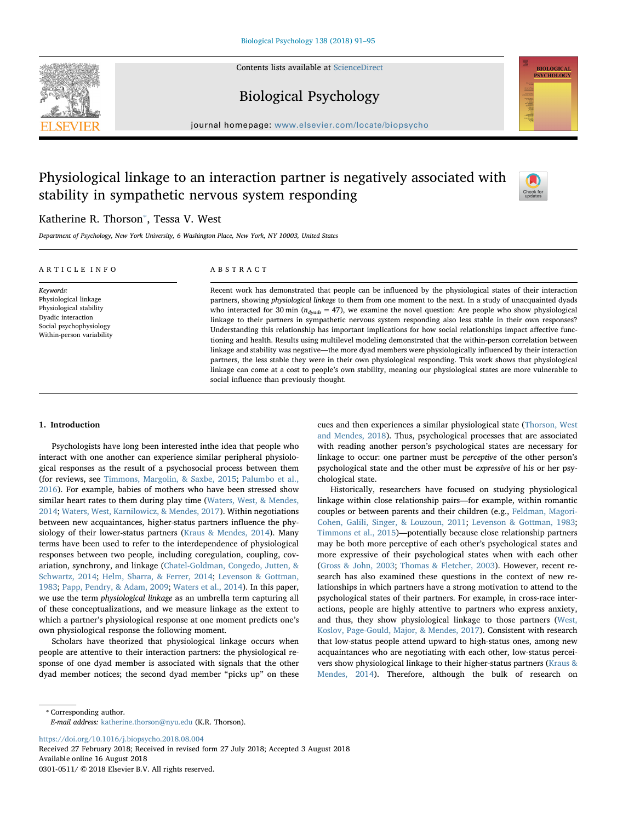Contents lists available at [ScienceDirect](http://www.sciencedirect.com/science/journal/03010511)





## Biological Psychology

journal homepage: [www.elsevier.com/locate/biopsycho](https://www.elsevier.com/locate/biopsycho)

# Physiological linkage to an interaction partner is negatively associated with stability in sympathetic nervous system responding



## Katherine R. Thorson<sup>\*</sup>, Tessa V. West

Department of Psychology, New York University, 6 Washington Place, New York, NY 10003, United States

| ARTICLE INFO                                                                                                                                | ABSTRACT                                                                                                                                                                                                                                                                                                                                                                                                                                                                                                                                                                                                                                                                                                                                                                                                                                                                                                                                                                                                                                                |
|---------------------------------------------------------------------------------------------------------------------------------------------|---------------------------------------------------------------------------------------------------------------------------------------------------------------------------------------------------------------------------------------------------------------------------------------------------------------------------------------------------------------------------------------------------------------------------------------------------------------------------------------------------------------------------------------------------------------------------------------------------------------------------------------------------------------------------------------------------------------------------------------------------------------------------------------------------------------------------------------------------------------------------------------------------------------------------------------------------------------------------------------------------------------------------------------------------------|
| Keywords:<br>Physiological linkage<br>Physiological stability<br>Dyadic interaction<br>Social psychophysiology<br>Within-person variability | Recent work has demonstrated that people can be influenced by the physiological states of their interaction<br>partners, showing physiological linkage to them from one moment to the next. In a study of unacquainted dyads<br>who interacted for 30 min $(n_{d\nu qds} = 47)$ , we examine the novel question: Are people who show physiological<br>linkage to their partners in sympathetic nervous system responding also less stable in their own responses?<br>Understanding this relationship has important implications for how social relationships impact affective func-<br>tioning and health. Results using multilevel modeling demonstrated that the within-person correlation between<br>linkage and stability was negative—the more dyad members were physiologically influenced by their interaction<br>partners, the less stable they were in their own physiological responding. This work shows that physiological<br>linkage can come at a cost to people's own stability, meaning our physiological states are more vulnerable to |

social influence than previously thought.

## 1. Introduction

Psychologists have long been interested inthe idea that people who interact with one another can experience similar peripheral physiological responses as the result of a psychosocial process between them (for reviews, see [Timmons, Margolin, & Saxbe, 2015](#page-4-0); [Palumbo et al.,](#page-4-1) [2016\)](#page-4-1). For example, babies of mothers who have been stressed show similar heart rates to them during play time [\(Waters, West, & Mendes,](#page-4-2) [2014;](#page-4-2) [Waters, West, Karnilowicz, & Mendes, 2017](#page-4-3)). Within negotiations between new acquaintances, higher-status partners influence the physiology of their lower-status partners ([Kraus & Mendes, 2014](#page-4-4)). Many terms have been used to refer to the interdependence of physiological responses between two people, including coregulation, coupling, covariation, synchrony, and linkage [\(Chatel-Goldman, Congedo, Jutten, &](#page-4-5) [Schwartz, 2014](#page-4-5); [Helm, Sbarra, & Ferrer, 2014](#page-4-6); [Levenson & Gottman,](#page-4-7) [1983;](#page-4-7) [Papp, Pendry, & Adam, 2009;](#page-4-8) [Waters et al., 2014](#page-4-2)). In this paper, we use the term physiological linkage as an umbrella term capturing all of these conceptualizations, and we measure linkage as the extent to which a partner's physiological response at one moment predicts one's own physiological response the following moment.

Scholars have theorized that physiological linkage occurs when people are attentive to their interaction partners: the physiological response of one dyad member is associated with signals that the other dyad member notices; the second dyad member "picks up" on these

cues and then experiences a similar physiological state ([Thorson, West](#page-4-9) [and Mendes, 2018\)](#page-4-9). Thus, psychological processes that are associated with reading another person's psychological states are necessary for linkage to occur: one partner must be perceptive of the other person's psychological state and the other must be expressive of his or her psychological state.

Historically, researchers have focused on studying physiological linkage within close relationship pairs—for example, within romantic couples or between parents and their children (e.g., [Feldman, Magori-](#page-4-10)[Cohen, Galili, Singer, & Louzoun, 2011](#page-4-10); [Levenson & Gottman, 1983](#page-4-7); [Timmons et al., 2015](#page-4-0))—potentially because close relationship partners may be both more perceptive of each other's psychological states and more expressive of their psychological states when with each other ([Gross & John, 2003](#page-4-11); [Thomas & Fletcher, 2003\)](#page-4-12). However, recent research has also examined these questions in the context of new relationships in which partners have a strong motivation to attend to the psychological states of their partners. For example, in cross-race interactions, people are highly attentive to partners who express anxiety, and thus, they show physiological linkage to those partners [\(West,](#page-4-13) [Koslov, Page-Gould, Major, & Mendes, 2017](#page-4-13)). Consistent with research that low-status people attend upward to high-status ones, among new acquaintances who are negotiating with each other, low-status perceivers show physiological linkage to their higher-status partners ([Kraus &](#page-4-4) [Mendes, 2014](#page-4-4)). Therefore, although the bulk of research on

<span id="page-0-0"></span>⁎ Corresponding author.

E-mail address: [katherine.thorson@nyu.edu](mailto:katherine.thorson@nyu.edu) (K.R. Thorson).

<https://doi.org/10.1016/j.biopsycho.2018.08.004>

Received 27 February 2018; Received in revised form 27 July 2018; Accepted 3 August 2018 Available online 16 August 2018 0301-0511/ © 2018 Elsevier B.V. All rights reserved.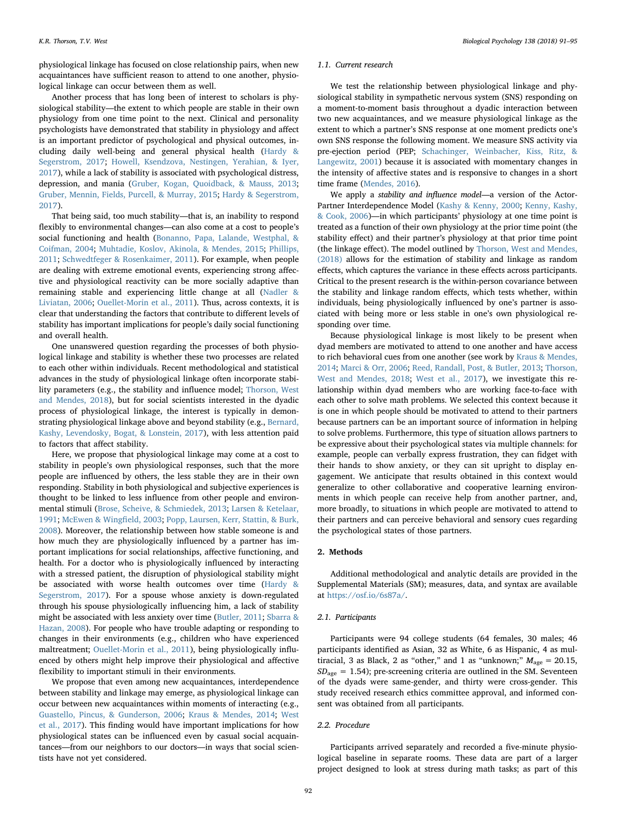physiological linkage has focused on close relationship pairs, when new acquaintances have sufficient reason to attend to one another, physiological linkage can occur between them as well.

Another process that has long been of interest to scholars is physiological stability—the extent to which people are stable in their own physiology from one time point to the next. Clinical and personality psychologists have demonstrated that stability in physiology and affect is an important predictor of psychological and physical outcomes, including daily well-being and general physical health [\(Hardy &](#page-4-14) [Segerstrom, 2017](#page-4-14); [Howell, Ksendzova, Nestingen, Yerahian, & Iyer,](#page-4-15) [2017\)](#page-4-15), while a lack of stability is associated with psychological distress, depression, and mania [\(Gruber, Kogan, Quoidback, & Mauss, 2013](#page-4-16); [Gruber, Mennin, Fields, Purcell, & Murray, 2015;](#page-4-17) [Hardy & Segerstrom,](#page-4-14) [2017\)](#page-4-14).

That being said, too much stability—that is, an inability to respond flexibly to environmental changes—can also come at a cost to people's social functioning and health ([Bonanno, Papa, Lalande, Westphal, &](#page-4-18) [Coifman, 2004](#page-4-18); [Muhtadie, Koslov, Akinola, & Mendes, 2015;](#page-4-19) [Phillips,](#page-4-20) [2011;](#page-4-20) [Schwedtfeger & Rosenkaimer, 2011\)](#page-4-21). For example, when people are dealing with extreme emotional events, experiencing strong affective and physiological reactivity can be more socially adaptive than remaining stable and experiencing little change at all [\(Nadler &](#page-4-22) [Liviatan, 2006](#page-4-22); [Ouellet-Morin et al., 2011](#page-4-23)). Thus, across contexts, it is clear that understanding the factors that contribute to different levels of stability has important implications for people's daily social functioning and overall health.

One unanswered question regarding the processes of both physiological linkage and stability is whether these two processes are related to each other within individuals. Recent methodological and statistical advances in the study of physiological linkage often incorporate stability parameters (e.g., the stability and influence model; [Thorson, West](#page-4-9) [and Mendes, 2018\)](#page-4-9), but for social scientists interested in the dyadic process of physiological linkage, the interest is typically in demonstrating physiological linkage above and beyond stability (e.g., [Bernard,](#page-4-24) [Kashy, Levendosky, Bogat, & Lonstein, 2017](#page-4-24)), with less attention paid to factors that affect stability.

Here, we propose that physiological linkage may come at a cost to stability in people's own physiological responses, such that the more people are influenced by others, the less stable they are in their own responding. Stability in both physiological and subjective experiences is thought to be linked to less influence from other people and environmental stimuli [\(Brose, Scheive, & Schmiedek, 2013;](#page-4-25) [Larsen & Ketelaar,](#page-4-26) [1991;](#page-4-26) [McEwen & Wing](#page-4-27)field, 2003; [Popp, Laursen, Kerr, Stattin, & Burk,](#page-4-28) [2008\)](#page-4-28). Moreover, the relationship between how stable someone is and how much they are physiologically influenced by a partner has important implications for social relationships, affective functioning, and health. For a doctor who is physiologically influenced by interacting with a stressed patient, the disruption of physiological stability might be associated with worse health outcomes over time [\(Hardy &](#page-4-14) [Segerstrom, 2017\)](#page-4-14). For a spouse whose anxiety is down-regulated through his spouse physiologically influencing him, a lack of stability might be associated with less anxiety over time ([Butler, 2011](#page-4-29); [Sbarra &](#page-4-30) [Hazan, 2008\)](#page-4-30). For people who have trouble adapting or responding to changes in their environments (e.g., children who have experienced maltreatment; [Ouellet-Morin et al., 2011\)](#page-4-23), being physiologically influenced by others might help improve their physiological and affective flexibility to important stimuli in their environments.

We propose that even among new acquaintances, interdependence between stability and linkage may emerge, as physiological linkage can occur between new acquaintances within moments of interacting (e.g., [Guastello, Pincus, & Gunderson, 2006](#page-4-31); [Kraus & Mendes, 2014;](#page-4-4) [West](#page-4-13) [et al., 2017\)](#page-4-13). This finding would have important implications for how physiological states can be influenced even by casual social acquaintances—from our neighbors to our doctors—in ways that social scientists have not yet considered.

#### 1.1. Current research

We test the relationship between physiological linkage and physiological stability in sympathetic nervous system (SNS) responding on a moment-to-moment basis throughout a dyadic interaction between two new acquaintances, and we measure physiological linkage as the extent to which a partner's SNS response at one moment predicts one's own SNS response the following moment. We measure SNS activity via pre-ejection period (PEP; [Schachinger, Weinbacher, Kiss, Ritz, &](#page-4-32) [Langewitz, 2001\)](#page-4-32) because it is associated with momentary changes in the intensity of affective states and is responsive to changes in a short time frame [\(Mendes, 2016\)](#page-4-33).

We apply a *stability and influence model*—a version of the Actor-Partner Interdependence Model ([Kashy & Kenny, 2000](#page-4-34); [Kenny, Kashy,](#page-4-35) [& Cook, 2006\)](#page-4-35)—in which participants' physiology at one time point is treated as a function of their own physiology at the prior time point (the stability effect) and their partner's physiology at that prior time point (the linkage effect). The model outlined by [Thorson, West and Mendes,](#page-4-9) [\(2018\)](#page-4-9) allows for the estimation of stability and linkage as random effects, which captures the variance in these effects across participants. Critical to the present research is the within-person covariance between the stability and linkage random effects, which tests whether, within individuals, being physiologically influenced by one's partner is associated with being more or less stable in one's own physiological responding over time.

Because physiological linkage is most likely to be present when dyad members are motivated to attend to one another and have access to rich behavioral cues from one another (see work by [Kraus & Mendes,](#page-4-4) [2014;](#page-4-4) [Marci & Orr, 2006;](#page-4-36) [Reed, Randall, Post, & Butler, 2013](#page-4-37); [Thorson,](#page-4-9) [West and Mendes, 2018;](#page-4-9) [West et al., 2017](#page-4-13)), we investigate this relationship within dyad members who are working face-to-face with each other to solve math problems. We selected this context because it is one in which people should be motivated to attend to their partners because partners can be an important source of information in helping to solve problems. Furthermore, this type of situation allows partners to be expressive about their psychological states via multiple channels: for example, people can verbally express frustration, they can fidget with their hands to show anxiety, or they can sit upright to display engagement. We anticipate that results obtained in this context would generalize to other collaborative and cooperative learning environments in which people can receive help from another partner, and, more broadly, to situations in which people are motivated to attend to their partners and can perceive behavioral and sensory cues regarding the psychological states of those partners.

## 2. Methods

Additional methodological and analytic details are provided in the Supplemental Materials (SM); measures, data, and syntax are available at <https://osf.io/6s87a/>.

## 2.1. Participants

Participants were 94 college students (64 females, 30 males; 46 participants identified as Asian, 32 as White, 6 as Hispanic, 4 as multiracial, 3 as Black, 2 as "other," and 1 as "unknown;"  $M_{\text{age}} = 20.15$ ,  $SD<sub>ave</sub> = 1.54$ ; pre-screening criteria are outlined in the SM. Seventeen of the dyads were same-gender, and thirty were cross-gender. This study received research ethics committee approval, and informed consent was obtained from all participants.

#### 2.2. Procedure

Participants arrived separately and recorded a five-minute physiological baseline in separate rooms. These data are part of a larger project designed to look at stress during math tasks; as part of this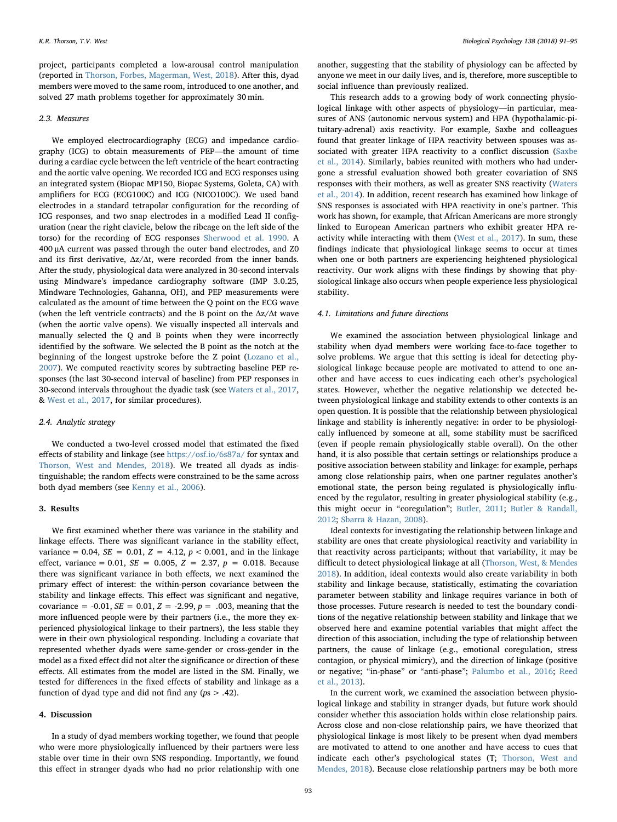project, participants completed a low-arousal control manipulation (reported in [Thorson, Forbes, Magerman, West, 2018](#page-4-38)). After this, dyad members were moved to the same room, introduced to one another, and solved 27 math problems together for approximately 30 min.

#### 2.3. Measures

We employed electrocardiography (ECG) and impedance cardiography (ICG) to obtain measurements of PEP—the amount of time during a cardiac cycle between the left ventricle of the heart contracting and the aortic valve opening. We recorded ICG and ECG responses using an integrated system (Biopac MP150, Biopac Systems, Goleta, CA) with amplifiers for ECG (ECG100C) and ICG (NICO100C). We used band electrodes in a standard tetrapolar configuration for the recording of ICG responses, and two snap electrodes in a modified Lead II configuration (near the right clavicle, below the ribcage on the left side of the torso) for the recording of ECG responses [Sherwood et al. 1990](#page-4-39). A 400 μA current was passed through the outer band electrodes, and Z0 and its first derivative,  $\Delta z/\Delta t$ , were recorded from the inner bands. After the study, physiological data were analyzed in 30-second intervals using Mindware's impedance cardiography software (IMP 3.0.25, Mindware Technologies, Gahanna, OH), and PEP measurements were calculated as the amount of time between the Q point on the ECG wave (when the left ventricle contracts) and the B point on the  $\Delta z/\Delta t$  wave (when the aortic valve opens). We visually inspected all intervals and manually selected the Q and B points when they were incorrectly identified by the software. We selected the B point as the notch at the beginning of the longest upstroke before the Z point ([Lozano et al.,](#page-4-40) [2007\)](#page-4-40). We computed reactivity scores by subtracting baseline PEP responses (the last 30-second interval of baseline) from PEP responses in 30-second intervals throughout the dyadic task (see [Waters et al., 2017](#page-4-3), & [West et al., 2017](#page-4-13), for similar procedures).

### 2.4. Analytic strategy

We conducted a two-level crossed model that estimated the fixed effects of stability and linkage (see <https://osf.io/6s87a/> for syntax and [Thorson, West and Mendes, 2018](#page-4-9)). We treated all dyads as indistinguishable; the random effects were constrained to be the same across both dyad members (see [Kenny et al., 2006](#page-4-35)).

#### 3. Results

We first examined whether there was variance in the stability and linkage effects. There was significant variance in the stability effect, variance = 0.04,  $SE = 0.01$ ,  $Z = 4.12$ ,  $p < 0.001$ , and in the linkage effect, variance = 0.01,  $SE = 0.005$ ,  $Z = 2.37$ ,  $p = 0.018$ . Because there was significant variance in both effects, we next examined the primary effect of interest: the within-person covariance between the stability and linkage effects. This effect was significant and negative, covariance = -0.01,  $SE = 0.01$ ,  $Z = -2.99$ ,  $p = .003$ , meaning that the more influenced people were by their partners (i.e., the more they experienced physiological linkage to their partners), the less stable they were in their own physiological responding. Including a covariate that represented whether dyads were same-gender or cross-gender in the model as a fixed effect did not alter the significance or direction of these effects. All estimates from the model are listed in the SM. Finally, we tested for differences in the fixed effects of stability and linkage as a function of dyad type and did not find any ( $ps > .42$ ).

#### 4. Discussion

In a study of dyad members working together, we found that people who were more physiologically influenced by their partners were less stable over time in their own SNS responding. Importantly, we found this effect in stranger dyads who had no prior relationship with one

another, suggesting that the stability of physiology can be affected by anyone we meet in our daily lives, and is, therefore, more susceptible to social influence than previously realized.

This research adds to a growing body of work connecting physiological linkage with other aspects of physiology—in particular, measures of ANS (autonomic nervous system) and HPA (hypothalamic-pituitary-adrenal) axis reactivity. For example, Saxbe and colleagues found that greater linkage of HPA reactivity between spouses was associated with greater HPA reactivity to a conflict discussion [\(Saxbe](#page-4-41) [et al., 2014\)](#page-4-41). Similarly, babies reunited with mothers who had undergone a stressful evaluation showed both greater covariation of SNS responses with their mothers, as well as greater SNS reactivity [\(Waters](#page-4-2) [et al., 2014\)](#page-4-2). In addition, recent research has examined how linkage of SNS responses is associated with HPA reactivity in one's partner. This work has shown, for example, that African Americans are more strongly linked to European American partners who exhibit greater HPA reactivity while interacting with them [\(West et al., 2017](#page-4-13)). In sum, these findings indicate that physiological linkage seems to occur at times when one or both partners are experiencing heightened physiological reactivity. Our work aligns with these findings by showing that physiological linkage also occurs when people experience less physiological stability.

### 4.1. Limitations and future directions

We examined the association between physiological linkage and stability when dyad members were working face-to-face together to solve problems. We argue that this setting is ideal for detecting physiological linkage because people are motivated to attend to one another and have access to cues indicating each other's psychological states. However, whether the negative relationship we detected between physiological linkage and stability extends to other contexts is an open question. It is possible that the relationship between physiological linkage and stability is inherently negative: in order to be physiologically influenced by someone at all, some stability must be sacrificed (even if people remain physiologically stable overall). On the other hand, it is also possible that certain settings or relationships produce a positive association between stability and linkage: for example, perhaps among close relationship pairs, when one partner regulates another's emotional state, the person being regulated is physiologically influenced by the regulator, resulting in greater physiological stability (e.g., this might occur in "coregulation"; [Butler, 2011;](#page-4-29) [Butler & Randall,](#page-4-42) [2012;](#page-4-42) [Sbarra & Hazan, 2008](#page-4-30)).

Ideal contexts for investigating the relationship between linkage and stability are ones that create physiological reactivity and variability in that reactivity across participants; without that variability, it may be difficult to detect physiological linkage at all [\(Thorson, West, & Mendes](#page-4-9) [2018\)](#page-4-9). In addition, ideal contexts would also create variability in both stability and linkage because, statistically, estimating the covariation parameter between stability and linkage requires variance in both of those processes. Future research is needed to test the boundary conditions of the negative relationship between stability and linkage that we observed here and examine potential variables that might affect the direction of this association, including the type of relationship between partners, the cause of linkage (e.g., emotional coregulation, stress contagion, or physical mimicry), and the direction of linkage (positive or negative; "in-phase" or "anti-phase"; [Palumbo et al., 2016](#page-4-1); [Reed](#page-4-37) [et al., 2013](#page-4-37)).

In the current work, we examined the association between physiological linkage and stability in stranger dyads, but future work should consider whether this association holds within close relationship pairs. Across close and non-close relationship pairs, we have theorized that physiological linkage is most likely to be present when dyad members are motivated to attend to one another and have access to cues that indicate each other's psychological states (T; [Thorson, West and](#page-4-9) [Mendes, 2018](#page-4-9)). Because close relationship partners may be both more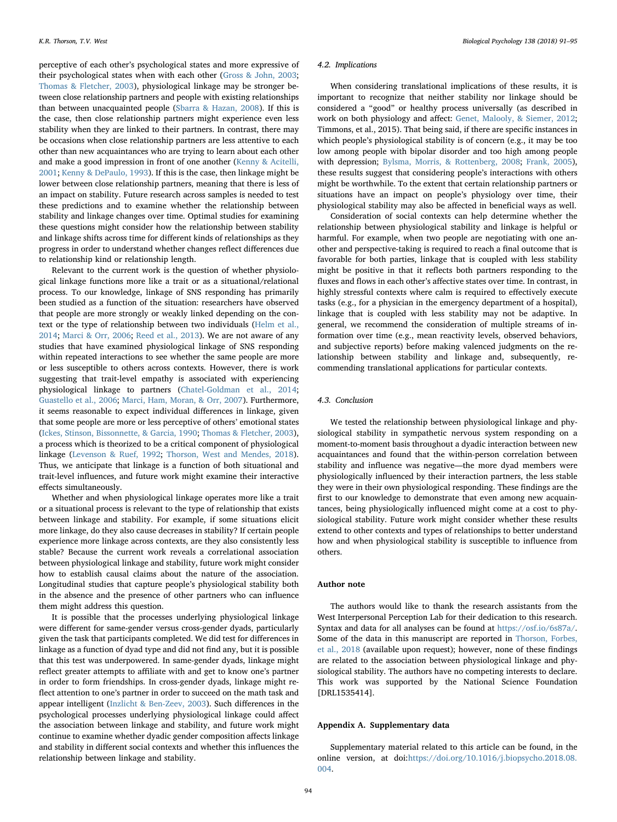perceptive of each other's psychological states and more expressive of their psychological states when with each other [\(Gross & John, 2003](#page-4-11); [Thomas & Fletcher, 2003](#page-4-12)), physiological linkage may be stronger between close relationship partners and people with existing relationships than between unacquainted people ([Sbarra & Hazan, 2008](#page-4-30)). If this is the case, then close relationship partners might experience even less stability when they are linked to their partners. In contrast, there may be occasions when close relationship partners are less attentive to each other than new acquaintances who are trying to learn about each other and make a good impression in front of one another [\(Kenny & Acitelli,](#page-4-43) [2001;](#page-4-43) [Kenny & DePaulo, 1993](#page-4-44)). If this is the case, then linkage might be lower between close relationship partners, meaning that there is less of an impact on stability. Future research across samples is needed to test these predictions and to examine whether the relationship between stability and linkage changes over time. Optimal studies for examining these questions might consider how the relationship between stability and linkage shifts across time for different kinds of relationships as they progress in order to understand whether changes reflect differences due to relationship kind or relationship length.

Relevant to the current work is the question of whether physiological linkage functions more like a trait or as a situational/relational process. To our knowledge, linkage of SNS responding has primarily been studied as a function of the situation: researchers have observed that people are more strongly or weakly linked depending on the context or the type of relationship between two individuals [\(Helm et al.,](#page-4-6) [2014;](#page-4-6) [Marci & Orr, 2006;](#page-4-36) [Reed et al., 2013](#page-4-37)). We are not aware of any studies that have examined physiological linkage of SNS responding within repeated interactions to see whether the same people are more or less susceptible to others across contexts. However, there is work suggesting that trait-level empathy is associated with experiencing physiological linkage to partners ([Chatel-Goldman et al., 2014](#page-4-5); [Guastello et al., 2006](#page-4-31); [Marci, Ham, Moran, & Orr, 2007](#page-4-45)). Furthermore, it seems reasonable to expect individual differences in linkage, given that some people are more or less perceptive of others' emotional states ([Ickes, Stinson, Bissonnette, & Garcia, 1990](#page-4-46); [Thomas & Fletcher, 2003](#page-4-12)), a process which is theorized to be a critical component of physiological linkage ([Levenson & Ruef, 1992](#page-4-47); [Thorson, West and Mendes, 2018](#page-4-9)). Thus, we anticipate that linkage is a function of both situational and trait-level influences, and future work might examine their interactive effects simultaneously.

Whether and when physiological linkage operates more like a trait or a situational process is relevant to the type of relationship that exists between linkage and stability. For example, if some situations elicit more linkage, do they also cause decreases in stability? If certain people experience more linkage across contexts, are they also consistently less stable? Because the current work reveals a correlational association between physiological linkage and stability, future work might consider how to establish causal claims about the nature of the association. Longitudinal studies that capture people's physiological stability both in the absence and the presence of other partners who can influence them might address this question.

It is possible that the processes underlying physiological linkage were different for same-gender versus cross-gender dyads, particularly given the task that participants completed. We did test for differences in linkage as a function of dyad type and did not find any, but it is possible that this test was underpowered. In same-gender dyads, linkage might reflect greater attempts to affiliate with and get to know one's partner in order to form friendships. In cross-gender dyads, linkage might reflect attention to one's partner in order to succeed on the math task and appear intelligent [\(Inzlicht & Ben-Zeev, 2003](#page-4-48)). Such differences in the psychological processes underlying physiological linkage could affect the association between linkage and stability, and future work might continue to examine whether dyadic gender composition affects linkage and stability in different social contexts and whether this influences the relationship between linkage and stability.

#### 4.2. Implications

When considering translational implications of these results, it is important to recognize that neither stability nor linkage should be considered a "good" or healthy process universally (as described in work on both physiology and affect: [Genet, Malooly, & Siemer, 2012](#page-4-49); Timmons, et al., 2015). That being said, if there are specific instances in which people's physiological stability is of concern (e.g., it may be too low among people with bipolar disorder and too high among people with depression; [Bylsma, Morris, & Rottenberg, 2008](#page-4-50); [Frank, 2005](#page-4-51)), these results suggest that considering people's interactions with others might be worthwhile. To the extent that certain relationship partners or situations have an impact on people's physiology over time, their physiological stability may also be affected in beneficial ways as well.

Consideration of social contexts can help determine whether the relationship between physiological stability and linkage is helpful or harmful. For example, when two people are negotiating with one another and perspective-taking is required to reach a final outcome that is favorable for both parties, linkage that is coupled with less stability might be positive in that it reflects both partners responding to the fluxes and flows in each other's affective states over time. In contrast, in highly stressful contexts where calm is required to effectively execute tasks (e.g., for a physician in the emergency department of a hospital), linkage that is coupled with less stability may not be adaptive. In general, we recommend the consideration of multiple streams of information over time (e.g., mean reactivity levels, observed behaviors, and subjective reports) before making valenced judgments on the relationship between stability and linkage and, subsequently, recommending translational applications for particular contexts.

## 4.3. Conclusion

We tested the relationship between physiological linkage and physiological stability in sympathetic nervous system responding on a moment-to-moment basis throughout a dyadic interaction between new acquaintances and found that the within-person correlation between stability and influence was negative—the more dyad members were physiologically influenced by their interaction partners, the less stable they were in their own physiological responding. These findings are the first to our knowledge to demonstrate that even among new acquaintances, being physiologically influenced might come at a cost to physiological stability. Future work might consider whether these results extend to other contexts and types of relationships to better understand how and when physiological stability is susceptible to influence from others.

## Author note

The authors would like to thank the research assistants from the West Interpersonal Perception Lab for their dedication to this research. Syntax and data for all analyses can be found at <https://osf.io/6s87a/>. Some of the data in this manuscript are reported in [Thorson, Forbes,](#page-4-38) [et al., 2018](#page-4-38) (available upon request); however, none of these findings are related to the association between physiological linkage and physiological stability. The authors have no competing interests to declare. This work was supported by the National Science Foundation [DRL1535414].

#### Appendix A. Supplementary data

Supplementary material related to this article can be found, in the online version, at doi[:https://doi.org/10.1016/j.biopsycho.2018.08.](https://doi.org/10.1016/j.biopsycho.2018.08.004) [004](https://doi.org/10.1016/j.biopsycho.2018.08.004).